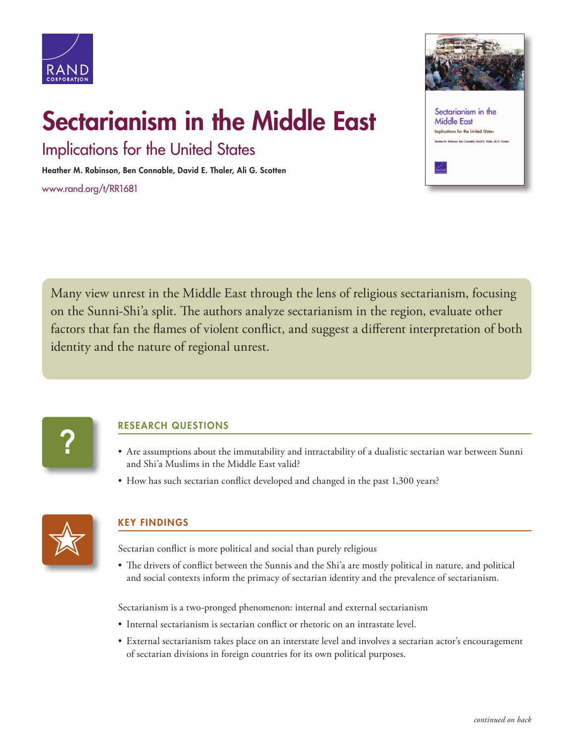

## Sectarianism in the Middle East

Implications for the United States

Heather M. Robinson, Ben Connable, David E. Thaler, Ali G. Scotten

[www.rand.org/t/RR1681](http://www.rand.org/t/RR1681)



Many view unrest in the Middle East through the lens of religious sectarianism, focusing on the Sunni-Shi'a split. The authors analyze sectarianism in the region, evaluate other factors that fan the flames of violent conflict, and suggest a different interpretation of both identity and the nature of regional unrest.



## RESEARCH QUESTIONS

- Are assumptions about the immutability and intractability of a dualistic sectarian war between Sunni and Shi'a Muslims in the Middle East valid?
- How has such sectarian conflict developed and changed in the past 1,300 years?



## KEY FINDINGS

Sectarian conflict is more political and social than purely religious

• The drivers of conflict between the Sunnis and the Shi'a are mostly political in nature, and political and social contexts inform the primacy of sectarian identity and the prevalence of sectarianism.

Sectarianism is a two-pronged phenomenon: internal and external sectarianism

- Internal sectarianism is sectarian conflict or rhetoric on an intrastate level.
- External sectarianism takes place on an interstate level and involves a sectarian actor's encouragement of sectarian divisions in foreign countries for its own political purposes.